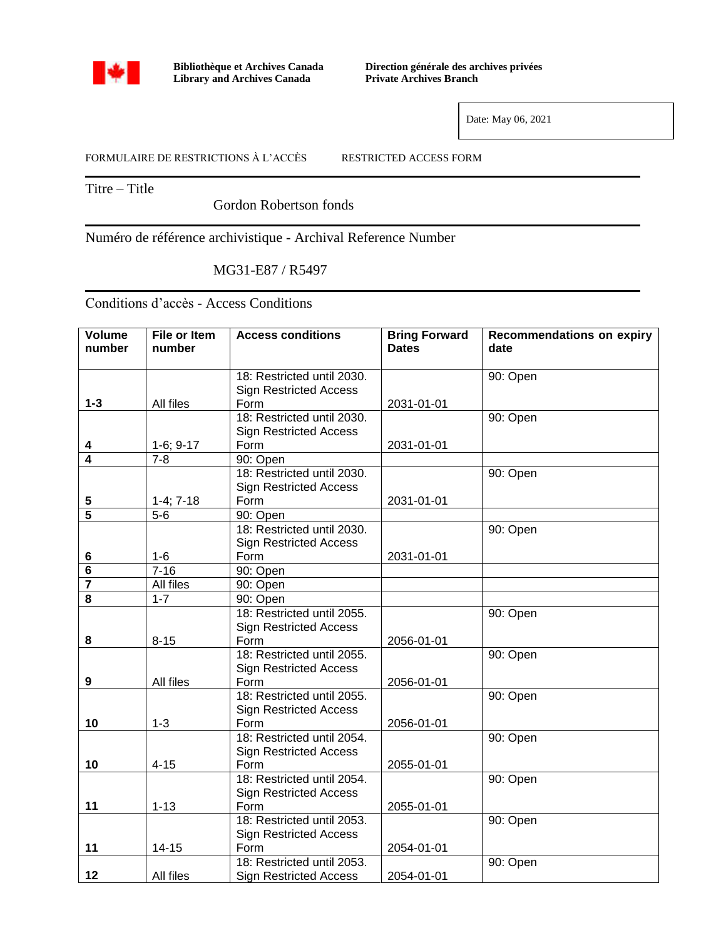

**Bibliothèque et Archives Canada Library and Archives Canada**

**Direction générale des archives privées Private Archives Branch**

Date: May 06, 2021

FORMULAIRE DE RESTRICTIONS À L'ACCÈS RESTRICTED ACCESS FORM

Titre – Title

Gordon Robertson fonds

Numéro de référence archivistique - Archival Reference Number

MG31-E87 / R5497

Conditions d'accès - Access Conditions

| <b>Volume</b><br>number | <b>File or Item</b><br>number | <b>Access conditions</b>              | <b>Bring Forward</b><br><b>Dates</b> | <b>Recommendations on expiry</b><br>date |
|-------------------------|-------------------------------|---------------------------------------|--------------------------------------|------------------------------------------|
|                         |                               |                                       |                                      |                                          |
|                         |                               | 18: Restricted until 2030.            |                                      | 90: Open                                 |
|                         |                               | <b>Sign Restricted Access</b>         |                                      |                                          |
| $1 - 3$                 | All files                     | Form                                  | 2031-01-01                           |                                          |
|                         |                               | 18: Restricted until 2030.            |                                      | 90: Open                                 |
|                         |                               | <b>Sign Restricted Access</b>         |                                      |                                          |
| 4                       | $1-6; 9-17$                   | Form                                  | 2031-01-01                           |                                          |
| $\overline{4}$          | $7 - 8$                       | 90: Open                              |                                      |                                          |
|                         |                               | 18: Restricted until 2030.            |                                      | 90: Open                                 |
|                         |                               | <b>Sign Restricted Access</b>         |                                      |                                          |
| 5                       | $1-4; 7-18$                   | Form                                  | 2031-01-01                           |                                          |
| 5                       | $5-6$                         | 90: Open                              |                                      |                                          |
|                         |                               | 18: Restricted until 2030.            |                                      | 90: Open                                 |
|                         |                               | <b>Sign Restricted Access</b>         |                                      |                                          |
| 6                       | $1-6$                         | Form                                  | 2031-01-01                           |                                          |
| 6                       | $7 - 16$                      | 90: Open                              |                                      |                                          |
| 7                       | All files                     | 90: Open                              |                                      |                                          |
| 8                       | $1 - 7$                       | 90: Open                              |                                      |                                          |
|                         |                               | 18: Restricted until 2055.            |                                      | $90:$ Open                               |
|                         |                               | <b>Sign Restricted Access</b>         |                                      |                                          |
| 8                       | $8 - 15$                      | Form                                  | 2056-01-01                           |                                          |
|                         |                               | 18: Restricted until 2055.            |                                      | 90: Open                                 |
|                         |                               | <b>Sign Restricted Access</b>         |                                      |                                          |
| $\boldsymbol{9}$        | All files                     | Form                                  | 2056-01-01                           |                                          |
|                         |                               | 18: Restricted until 2055.            |                                      | 90: Open                                 |
|                         |                               | <b>Sign Restricted Access</b>         |                                      |                                          |
| 10                      | $1 - 3$                       | Form                                  | 2056-01-01                           |                                          |
|                         |                               | 18: Restricted until 2054.            |                                      | 90: Open                                 |
|                         |                               | <b>Sign Restricted Access</b>         |                                      |                                          |
| 10                      | $4 - 15$                      | Form                                  | 2055-01-01                           |                                          |
|                         |                               | 18: Restricted until 2054.            |                                      | 90: Open                                 |
|                         |                               | <b>Sign Restricted Access</b>         |                                      |                                          |
| 11                      | $1 - 13$                      | Form                                  | 2055-01-01                           |                                          |
|                         |                               | 18: Restricted until 2053.            |                                      | 90: Open                                 |
| 11                      | 14-15                         | <b>Sign Restricted Access</b><br>Form |                                      |                                          |
|                         |                               | 18: Restricted until 2053.            | 2054-01-01                           | 90: Open                                 |
| 12                      | All files                     |                                       | 2054-01-01                           |                                          |
|                         |                               | <b>Sign Restricted Access</b>         |                                      |                                          |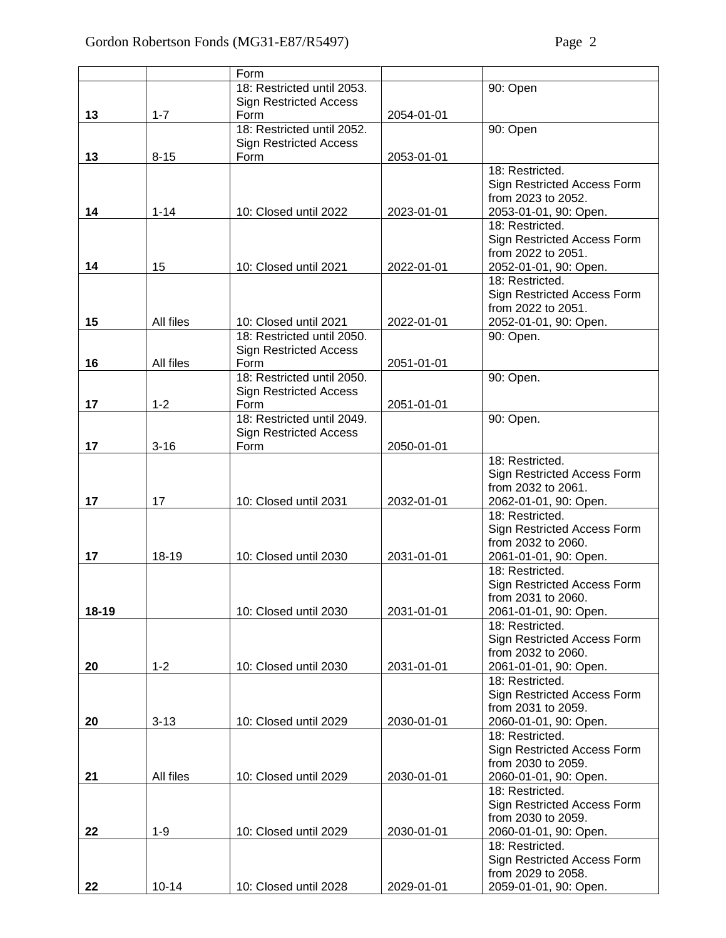|           |           | Form                                  |            |                                                   |
|-----------|-----------|---------------------------------------|------------|---------------------------------------------------|
|           |           | 18: Restricted until 2053.            |            | 90: Open                                          |
|           |           | <b>Sign Restricted Access</b>         |            |                                                   |
| 13        | $1 - 7$   | Form                                  | 2054-01-01 |                                                   |
|           |           | 18: Restricted until 2052.            |            | 90: Open                                          |
|           |           | <b>Sign Restricted Access</b>         |            |                                                   |
| 13        | $8 - 15$  | Form                                  | 2053-01-01 |                                                   |
|           |           |                                       |            | 18: Restricted.                                   |
|           |           |                                       |            | Sign Restricted Access Form<br>from 2023 to 2052. |
| 14        | $1 - 14$  | 10: Closed until 2022                 | 2023-01-01 | 2053-01-01, 90: Open.                             |
|           |           |                                       |            | 18: Restricted.                                   |
|           |           |                                       |            | Sign Restricted Access Form                       |
|           |           |                                       |            | from 2022 to 2051.                                |
| 14        | 15        | 10: Closed until 2021                 | 2022-01-01 | 2052-01-01, 90: Open.                             |
|           |           |                                       |            | 18: Restricted.                                   |
|           |           |                                       |            | Sign Restricted Access Form                       |
|           |           |                                       |            | from 2022 to 2051.                                |
| 15        | All files | 10: Closed until 2021                 | 2022-01-01 | 2052-01-01, 90: Open.                             |
|           |           | 18: Restricted until 2050.            |            | 90: Open.                                         |
|           |           | <b>Sign Restricted Access</b>         |            |                                                   |
| 16        | All files | Form                                  | 2051-01-01 |                                                   |
|           |           | 18: Restricted until 2050.            |            | 90: Open.                                         |
| 17        | $1 - 2$   | <b>Sign Restricted Access</b><br>Form | 2051-01-01 |                                                   |
|           |           | 18: Restricted until 2049.            |            | 90: Open.                                         |
|           |           | <b>Sign Restricted Access</b>         |            |                                                   |
| 17        | $3 - 16$  | Form                                  | 2050-01-01 |                                                   |
|           |           |                                       |            | 18: Restricted.                                   |
|           |           |                                       |            | Sign Restricted Access Form                       |
|           |           |                                       |            | from 2032 to 2061.                                |
| 17        | 17        | 10: Closed until 2031                 | 2032-01-01 | 2062-01-01, 90: Open.                             |
|           |           |                                       |            | 18: Restricted.                                   |
|           |           |                                       |            | Sign Restricted Access Form                       |
|           |           |                                       |            | from 2032 to 2060.                                |
| 17        | 18-19     | 10: Closed until 2030                 | 2031-01-01 | 2061-01-01, 90: Open.<br>18: Restricted.          |
|           |           |                                       |            | Sign Restricted Access Form                       |
|           |           |                                       |            | from 2031 to 2060.                                |
| $18 - 19$ |           | 10: Closed until 2030                 | 2031-01-01 | 2061-01-01, 90: Open.                             |
|           |           |                                       |            | 18: Restricted.                                   |
|           |           |                                       |            | Sign Restricted Access Form                       |
|           |           |                                       |            | from 2032 to 2060.                                |
| 20        | $1 - 2$   | 10: Closed until 2030                 | 2031-01-01 | 2061-01-01, 90: Open.                             |
|           |           |                                       |            | 18: Restricted.                                   |
|           |           |                                       |            | Sign Restricted Access Form                       |
|           | $3 - 13$  | 10: Closed until 2029                 | 2030-01-01 | from 2031 to 2059.                                |
| 20        |           |                                       |            | 2060-01-01, 90: Open.<br>18: Restricted.          |
|           |           |                                       |            | Sign Restricted Access Form                       |
|           |           |                                       |            | from 2030 to 2059.                                |
| 21        | All files | 10: Closed until 2029                 | 2030-01-01 | 2060-01-01, 90: Open.                             |
|           |           |                                       |            | 18: Restricted.                                   |
|           |           |                                       |            | Sign Restricted Access Form                       |
|           |           |                                       |            | from 2030 to 2059.                                |
| 22        | $1 - 9$   | 10: Closed until 2029                 | 2030-01-01 | 2060-01-01, 90: Open.                             |
|           |           |                                       |            | 18: Restricted.                                   |
|           |           |                                       |            | Sign Restricted Access Form                       |
|           |           |                                       |            | from 2029 to 2058.                                |
| 22        | $10 - 14$ | 10: Closed until 2028                 | 2029-01-01 | 2059-01-01, 90: Open.                             |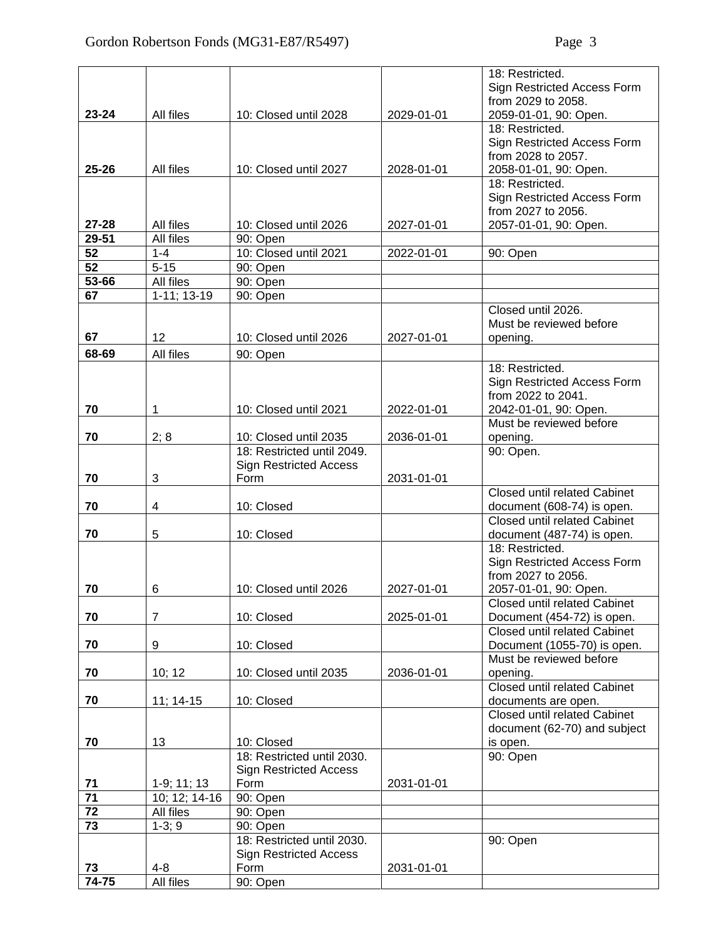|                 |                         |                               |            | 18: Restricted.                     |
|-----------------|-------------------------|-------------------------------|------------|-------------------------------------|
|                 |                         |                               |            | Sign Restricted Access Form         |
|                 |                         |                               |            | from 2029 to 2058.                  |
| $23 - 24$       | All files               | 10: Closed until 2028         | 2029-01-01 | 2059-01-01, 90: Open.               |
|                 |                         |                               |            | 18: Restricted.                     |
|                 |                         |                               |            | Sign Restricted Access Form         |
|                 |                         |                               |            | from 2028 to 2057.                  |
| 25-26           | All files               | 10: Closed until 2027         | 2028-01-01 | 2058-01-01, 90: Open.               |
|                 |                         |                               |            | 18: Restricted.                     |
|                 |                         |                               |            | Sign Restricted Access Form         |
|                 |                         |                               |            | from 2027 to 2056.                  |
| $27 - 28$       | All files               | 10: Closed until 2026         | 2027-01-01 | 2057-01-01, 90: Open.               |
| 29-51           | All files               | 90: Open                      |            |                                     |
| 52              | $1 - 4$                 | 10: Closed until 2021         | 2022-01-01 | 90: Open                            |
| 52              | $5 - 15$                | 90: Open                      |            |                                     |
| 53-66           | All files               | 90: Open                      |            |                                     |
| 67              | $1-11; 13-19$           | 90: Open                      |            |                                     |
|                 |                         |                               |            | Closed until 2026.                  |
|                 |                         |                               |            | Must be reviewed before             |
| 67              | 12                      | 10: Closed until 2026         | 2027-01-01 | opening.                            |
|                 |                         |                               |            |                                     |
| 68-69           | All files               | 90: Open                      |            |                                     |
|                 |                         |                               |            | 18: Restricted.                     |
|                 |                         |                               |            | Sign Restricted Access Form         |
|                 |                         |                               |            | from 2022 to 2041.                  |
| 70              | $\mathbf{1}$            | 10: Closed until 2021         | 2022-01-01 | 2042-01-01, 90: Open.               |
|                 |                         |                               |            | Must be reviewed before             |
| 70              | 2; 8                    | 10: Closed until 2035         | 2036-01-01 | opening.                            |
|                 |                         | 18: Restricted until 2049.    |            | 90: Open.                           |
|                 |                         | <b>Sign Restricted Access</b> |            |                                     |
| 70              | 3                       | Form                          | 2031-01-01 |                                     |
|                 |                         |                               |            | <b>Closed until related Cabinet</b> |
| 70              | $\overline{\mathbf{4}}$ | 10: Closed                    |            | document (608-74) is open.          |
|                 |                         |                               |            | <b>Closed until related Cabinet</b> |
| 70              | 5                       | 10: Closed                    |            | document (487-74) is open.          |
|                 |                         |                               |            | 18: Restricted.                     |
|                 |                         |                               |            | Sign Restricted Access Form         |
|                 |                         |                               |            | from 2027 to 2056.                  |
| 70              | 6                       | 10: Closed until 2026         | 2027-01-01 | 2057-01-01, 90: Open.               |
|                 |                         |                               |            | <b>Closed until related Cabinet</b> |
| 70              | $\overline{7}$          | 10: Closed                    | 2025-01-01 | Document (454-72) is open.          |
|                 |                         |                               |            | Closed until related Cabinet        |
| 70              | 9                       | 10: Closed                    |            | Document (1055-70) is open.         |
|                 |                         |                               |            | Must be reviewed before             |
| 70              | 10; 12                  | 10: Closed until 2035         | 2036-01-01 | opening.                            |
|                 |                         |                               |            | <b>Closed until related Cabinet</b> |
| 70              | $11; 14-15$             | 10: Closed                    |            | documents are open.                 |
|                 |                         |                               |            | <b>Closed until related Cabinet</b> |
|                 |                         |                               |            | document (62-70) and subject        |
| 70              | 13                      | 10: Closed                    |            | is open.                            |
|                 |                         | 18: Restricted until 2030.    |            | 90: Open                            |
|                 |                         | <b>Sign Restricted Access</b> |            |                                     |
| 71<br>71        | $1-9; 11; 13$           | Form                          | 2031-01-01 |                                     |
| $\overline{72}$ | 10; 12; 14-16           | 90: Open                      |            |                                     |
|                 | All files               | 90: Open                      |            |                                     |
| $\overline{73}$ | $1-3; 9$                | 90: Open                      |            |                                     |
|                 |                         | 18: Restricted until 2030.    |            | 90: Open                            |
|                 |                         | <b>Sign Restricted Access</b> |            |                                     |
| 73              | $4 - 8$                 | Form                          | 2031-01-01 |                                     |
| $74 - 75$       | All files               | 90: Open                      |            |                                     |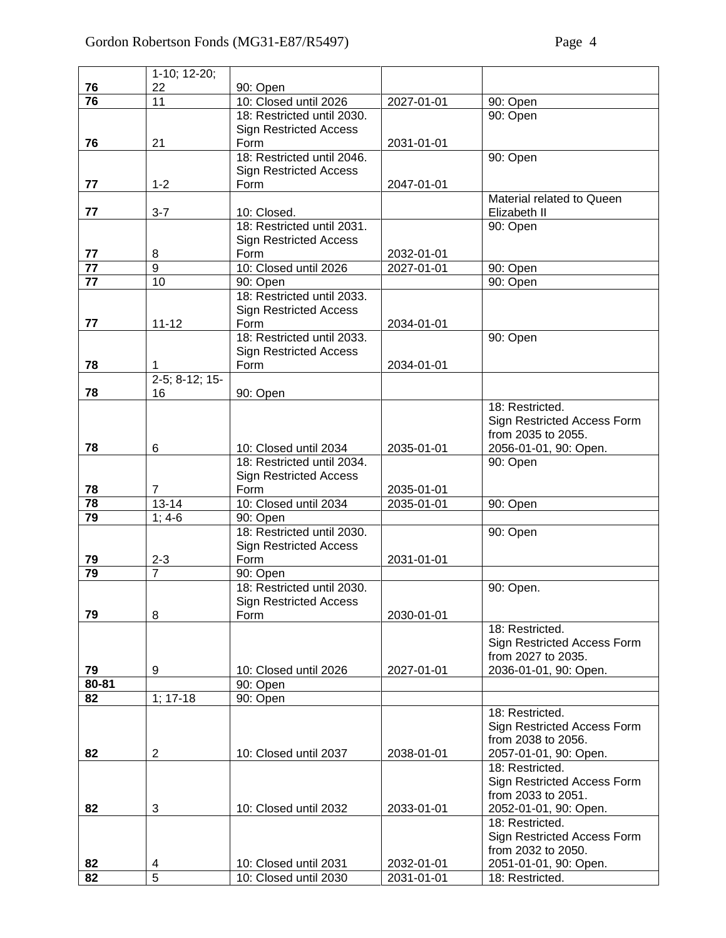|       | 1-10; 12-20;      |                               |            |                             |
|-------|-------------------|-------------------------------|------------|-----------------------------|
| 76    | 22                | 90: Open                      |            |                             |
| 76    | 11                | 10: Closed until 2026         | 2027-01-01 | 90: Open                    |
|       |                   | 18: Restricted until 2030.    |            | 90: Open                    |
|       |                   | <b>Sign Restricted Access</b> |            |                             |
| 76    | 21                | Form                          | 2031-01-01 |                             |
|       |                   | 18: Restricted until 2046.    |            | 90: Open                    |
|       |                   | <b>Sign Restricted Access</b> |            |                             |
| 77    | $1 - 2$           | Form                          | 2047-01-01 |                             |
|       |                   |                               |            | Material related to Queen   |
| 77    | $3 - 7$           | 10: Closed.                   |            |                             |
|       |                   | 18: Restricted until 2031.    |            | Elizabeth II                |
|       |                   |                               |            | 90: Open                    |
|       |                   | <b>Sign Restricted Access</b> |            |                             |
| 77    | 8                 | Form                          | 2032-01-01 |                             |
| 77    | 9                 | 10: Closed until 2026         | 2027-01-01 | 90: Open                    |
| 77    | 10                | 90: Open                      |            | 90: Open                    |
|       |                   | 18: Restricted until 2033.    |            |                             |
|       |                   | <b>Sign Restricted Access</b> |            |                             |
| 77    | $11 - 12$         | Form                          | 2034-01-01 |                             |
|       |                   | 18: Restricted until 2033.    |            | 90: Open                    |
|       |                   | <b>Sign Restricted Access</b> |            |                             |
| 78    | 1                 | Form                          | 2034-01-01 |                             |
|       | $2-5$ ; 8-12; 15- |                               |            |                             |
| 78    | 16                | 90: Open                      |            |                             |
|       |                   |                               |            | 18: Restricted.             |
|       |                   |                               |            | Sign Restricted Access Form |
|       |                   |                               |            | from 2035 to 2055.          |
| 78    | 6                 | 10: Closed until 2034         | 2035-01-01 | 2056-01-01, 90: Open.       |
|       |                   | 18: Restricted until 2034.    |            | 90: Open                    |
|       |                   | <b>Sign Restricted Access</b> |            |                             |
| 78    | 7                 | Form                          | 2035-01-01 |                             |
| 78    | $13 - 14$         | 10: Closed until 2034         | 2035-01-01 | 90: Open                    |
| 79    | $1; 4-6$          | 90: Open                      |            |                             |
|       |                   | 18: Restricted until 2030.    |            | 90: Open                    |
|       |                   | <b>Sign Restricted Access</b> |            |                             |
| 79    | $2 - 3$           | Form                          | 2031-01-01 |                             |
| 79    | $\overline{7}$    | 90: Open                      |            |                             |
|       |                   | 18: Restricted until 2030.    |            | 90: Open.                   |
|       |                   | <b>Sign Restricted Access</b> |            |                             |
| 79    | 8                 | Form                          | 2030-01-01 |                             |
|       |                   |                               |            | 18: Restricted.             |
|       |                   |                               |            | Sign Restricted Access Form |
|       |                   |                               |            | from 2027 to 2035.          |
| 79    | 9                 | 10: Closed until 2026         | 2027-01-01 | 2036-01-01, 90: Open.       |
| 80-81 |                   | 90: Open                      |            |                             |
| 82    | $1; 17-18$        | 90: Open                      |            |                             |
|       |                   |                               |            | 18: Restricted.             |
|       |                   |                               |            | Sign Restricted Access Form |
|       |                   |                               |            | from 2038 to 2056.          |
| 82    | $\overline{a}$    | 10: Closed until 2037         | 2038-01-01 | 2057-01-01, 90: Open.       |
|       |                   |                               |            | 18: Restricted.             |
|       |                   |                               |            | Sign Restricted Access Form |
|       |                   |                               |            | from 2033 to 2051.          |
| 82    | 3                 | 10: Closed until 2032         | 2033-01-01 | 2052-01-01, 90: Open.       |
|       |                   |                               |            | 18: Restricted.             |
|       |                   |                               |            | Sign Restricted Access Form |
|       |                   |                               |            | from 2032 to 2050.          |
| 82    | 4                 | 10: Closed until 2031         | 2032-01-01 | 2051-01-01, 90: Open.       |
| 82    | $\overline{5}$    | 10: Closed until 2030         | 2031-01-01 | 18: Restricted.             |
|       |                   |                               |            |                             |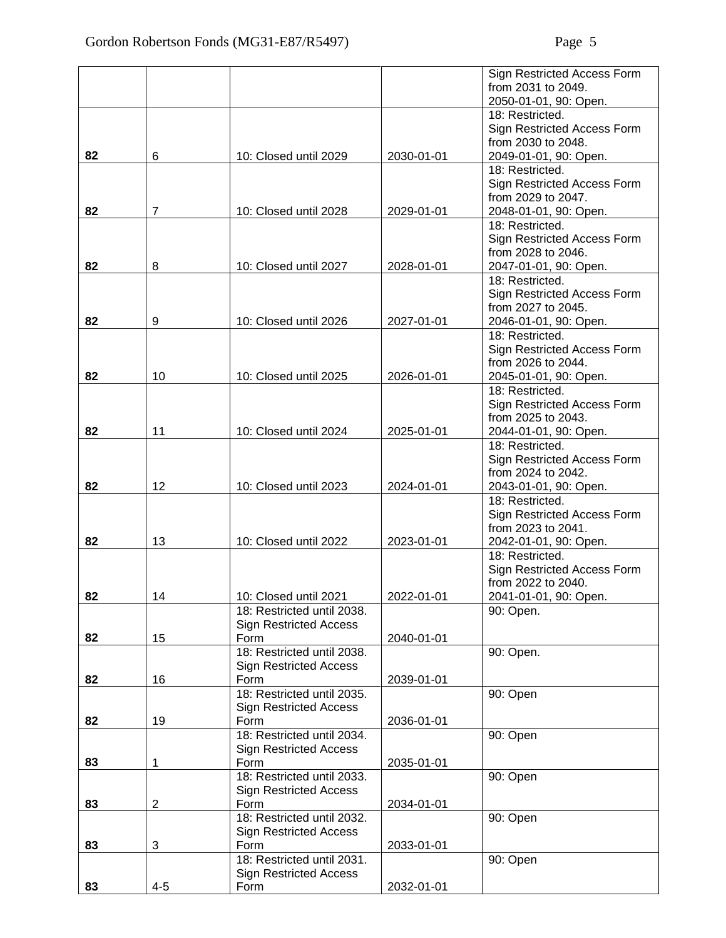|    |                |                               |            | Sign Restricted Access Form |
|----|----------------|-------------------------------|------------|-----------------------------|
|    |                |                               |            | from 2031 to 2049.          |
|    |                |                               |            | 2050-01-01, 90: Open.       |
|    |                |                               |            | 18: Restricted.             |
|    |                |                               |            | Sign Restricted Access Form |
|    |                |                               |            | from 2030 to 2048.          |
| 82 | 6              | 10: Closed until 2029         | 2030-01-01 | 2049-01-01, 90: Open.       |
|    |                |                               |            | 18: Restricted.             |
|    |                |                               |            | Sign Restricted Access Form |
|    |                |                               |            | from 2029 to 2047.          |
| 82 | $\overline{7}$ | 10: Closed until 2028         | 2029-01-01 | 2048-01-01, 90: Open.       |
|    |                |                               |            | 18: Restricted.             |
|    |                |                               |            | Sign Restricted Access Form |
|    |                |                               |            | from 2028 to 2046.          |
| 82 | 8              | 10: Closed until 2027         | 2028-01-01 | 2047-01-01, 90: Open.       |
|    |                |                               |            | 18: Restricted.             |
|    |                |                               |            | Sign Restricted Access Form |
|    |                |                               |            | from 2027 to 2045.          |
| 82 | 9              | 10: Closed until 2026         | 2027-01-01 | 2046-01-01, 90: Open.       |
|    |                |                               |            | 18: Restricted.             |
|    |                |                               |            | Sign Restricted Access Form |
|    |                |                               |            | from 2026 to 2044.          |
| 82 | 10             | 10: Closed until 2025         | 2026-01-01 | 2045-01-01, 90: Open.       |
|    |                |                               |            | 18: Restricted.             |
|    |                |                               |            | Sign Restricted Access Form |
|    |                |                               |            | from 2025 to 2043.          |
| 82 | 11             | 10: Closed until 2024         | 2025-01-01 | 2044-01-01, 90: Open.       |
|    |                |                               |            | 18: Restricted.             |
|    |                |                               |            | Sign Restricted Access Form |
|    |                |                               |            | from 2024 to 2042.          |
| 82 | 12             | 10: Closed until 2023         | 2024-01-01 | 2043-01-01, 90: Open.       |
|    |                |                               |            | 18: Restricted.             |
|    |                |                               |            | Sign Restricted Access Form |
|    |                |                               |            | from 2023 to 2041.          |
| 82 | 13             | 10: Closed until 2022         | 2023-01-01 | 2042-01-01, 90: Open.       |
|    |                |                               |            | 18: Restricted.             |
|    |                |                               |            | Sign Restricted Access Form |
|    |                |                               |            | from 2022 to 2040.          |
| 82 | 14             | 10: Closed until 2021         | 2022-01-01 | 2041-01-01, 90: Open.       |
|    |                | 18: Restricted until 2038.    |            | 90: Open.                   |
|    |                | <b>Sign Restricted Access</b> |            |                             |
| 82 | 15             | Form                          | 2040-01-01 |                             |
|    |                | 18: Restricted until 2038.    |            | 90: Open.                   |
|    |                | <b>Sign Restricted Access</b> |            |                             |
| 82 | 16             | Form                          | 2039-01-01 |                             |
|    |                | 18: Restricted until 2035.    |            | 90: Open                    |
|    |                | <b>Sign Restricted Access</b> |            |                             |
| 82 | 19             | Form                          | 2036-01-01 |                             |
|    |                | 18: Restricted until 2034.    |            | 90: Open                    |
|    |                | <b>Sign Restricted Access</b> |            |                             |
| 83 | 1              | Form                          | 2035-01-01 |                             |
|    |                | 18: Restricted until 2033.    |            | 90: Open                    |
|    |                | <b>Sign Restricted Access</b> |            |                             |
| 83 | $\overline{2}$ | Form                          | 2034-01-01 |                             |
|    |                | 18: Restricted until 2032.    |            | 90: Open                    |
|    |                | <b>Sign Restricted Access</b> |            |                             |
| 83 | 3              | Form                          | 2033-01-01 |                             |
|    |                | 18: Restricted until 2031.    |            | 90: Open                    |
|    |                | <b>Sign Restricted Access</b> |            |                             |
| 83 | $4 - 5$        | Form                          | 2032-01-01 |                             |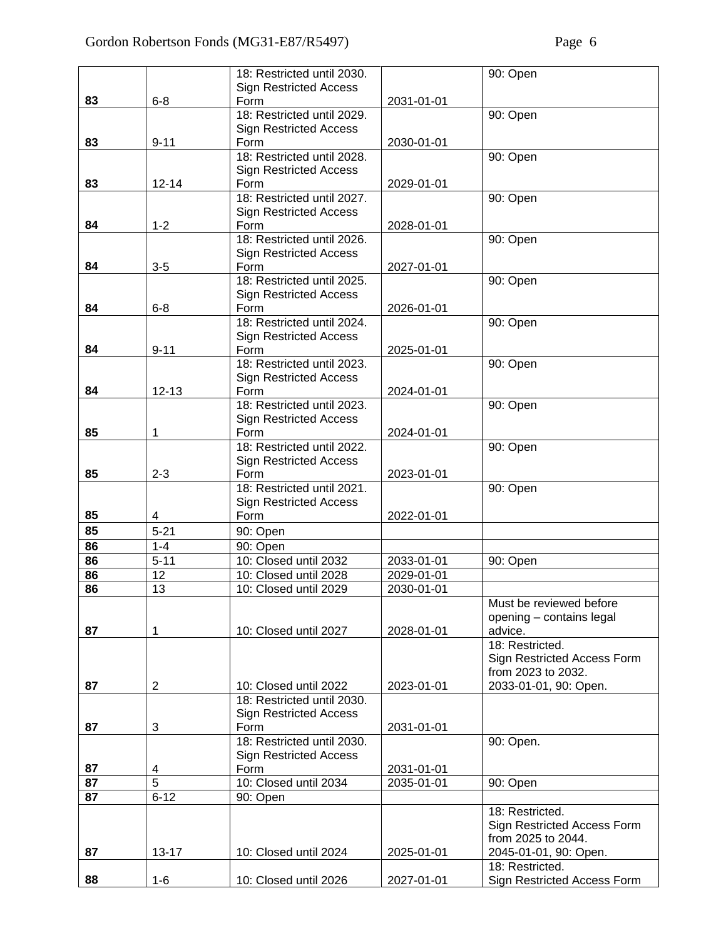|    |                | 18: Restricted until 2030.            |            | 90: Open                                          |
|----|----------------|---------------------------------------|------------|---------------------------------------------------|
|    |                | <b>Sign Restricted Access</b>         |            |                                                   |
| 83 | $6 - 8$        | Form                                  | 2031-01-01 |                                                   |
|    |                | 18: Restricted until 2029.            |            | 90: Open                                          |
|    |                | <b>Sign Restricted Access</b>         |            |                                                   |
| 83 | $9 - 11$       | Form                                  | 2030-01-01 |                                                   |
|    |                | 18: Restricted until 2028.            |            | 90: Open                                          |
|    |                | <b>Sign Restricted Access</b>         |            |                                                   |
| 83 | $12 - 14$      | Form                                  | 2029-01-01 |                                                   |
|    |                | 18: Restricted until 2027.            |            | 90: Open                                          |
|    |                | <b>Sign Restricted Access</b>         |            |                                                   |
| 84 | $1 - 2$        | Form                                  | 2028-01-01 |                                                   |
|    |                | 18: Restricted until 2026.            |            | 90: Open                                          |
|    |                | <b>Sign Restricted Access</b>         |            |                                                   |
| 84 | $3-5$          | Form                                  | 2027-01-01 |                                                   |
|    |                | 18: Restricted until 2025.            |            | 90: Open                                          |
|    |                | <b>Sign Restricted Access</b>         |            |                                                   |
| 84 | $6 - 8$        | Form<br>18: Restricted until 2024.    | 2026-01-01 |                                                   |
|    |                |                                       |            | 90: Open                                          |
| 84 | $9 - 11$       | <b>Sign Restricted Access</b><br>Form | 2025-01-01 |                                                   |
|    |                | 18: Restricted until 2023.            |            | 90: Open                                          |
|    |                | <b>Sign Restricted Access</b>         |            |                                                   |
| 84 | $12 - 13$      | Form                                  | 2024-01-01 |                                                   |
|    |                | 18: Restricted until 2023.            |            | 90: Open                                          |
|    |                | <b>Sign Restricted Access</b>         |            |                                                   |
| 85 | 1              | Form                                  | 2024-01-01 |                                                   |
|    |                | 18: Restricted until 2022.            |            | 90: Open                                          |
|    |                | <b>Sign Restricted Access</b>         |            |                                                   |
| 85 | $2 - 3$        | Form                                  | 2023-01-01 |                                                   |
|    |                | 18: Restricted until 2021.            |            | 90: Open                                          |
|    |                | <b>Sign Restricted Access</b>         |            |                                                   |
| 85 | 4              | Form                                  | 2022-01-01 |                                                   |
| 85 | $5 - 21$       | 90: Open                              |            |                                                   |
| 86 | $1 - 4$        | 90: Open                              |            |                                                   |
| 86 | $5 - 11$       | 10: Closed until 2032                 | 2033-01-01 | 90: Open                                          |
| 86 | 12             | 10: Closed until 2028                 | 2029-01-01 |                                                   |
| 86 | 13             | 10: Closed until 2029                 | 2030-01-01 |                                                   |
|    |                |                                       |            | Must be reviewed before                           |
|    |                |                                       |            | opening - contains legal                          |
| 87 | 1              | 10: Closed until 2027                 | 2028-01-01 | advice.                                           |
|    |                |                                       |            | 18: Restricted.                                   |
|    |                |                                       |            | Sign Restricted Access Form<br>from 2023 to 2032. |
| 87 | $\overline{2}$ | 10: Closed until 2022                 | 2023-01-01 | 2033-01-01, 90: Open.                             |
|    |                | 18: Restricted until 2030.            |            |                                                   |
|    |                | <b>Sign Restricted Access</b>         |            |                                                   |
| 87 | 3              | Form                                  | 2031-01-01 |                                                   |
|    |                | 18: Restricted until 2030.            |            | 90: Open.                                         |
|    |                | <b>Sign Restricted Access</b>         |            |                                                   |
| 87 | 4              | Form                                  | 2031-01-01 |                                                   |
| 87 | $\overline{5}$ | 10: Closed until 2034                 | 2035-01-01 | 90: Open                                          |
| 87 | $6 - 12$       | 90: Open                              |            |                                                   |
|    |                |                                       |            | 18: Restricted.                                   |
|    |                |                                       |            | Sign Restricted Access Form                       |
|    |                |                                       |            | from 2025 to 2044.                                |
| 87 | $13 - 17$      | 10: Closed until 2024                 | 2025-01-01 | 2045-01-01, 90: Open.                             |
|    |                |                                       |            | 18: Restricted.                                   |
| 88 | $1-6$          | 10: Closed until 2026                 | 2027-01-01 | Sign Restricted Access Form                       |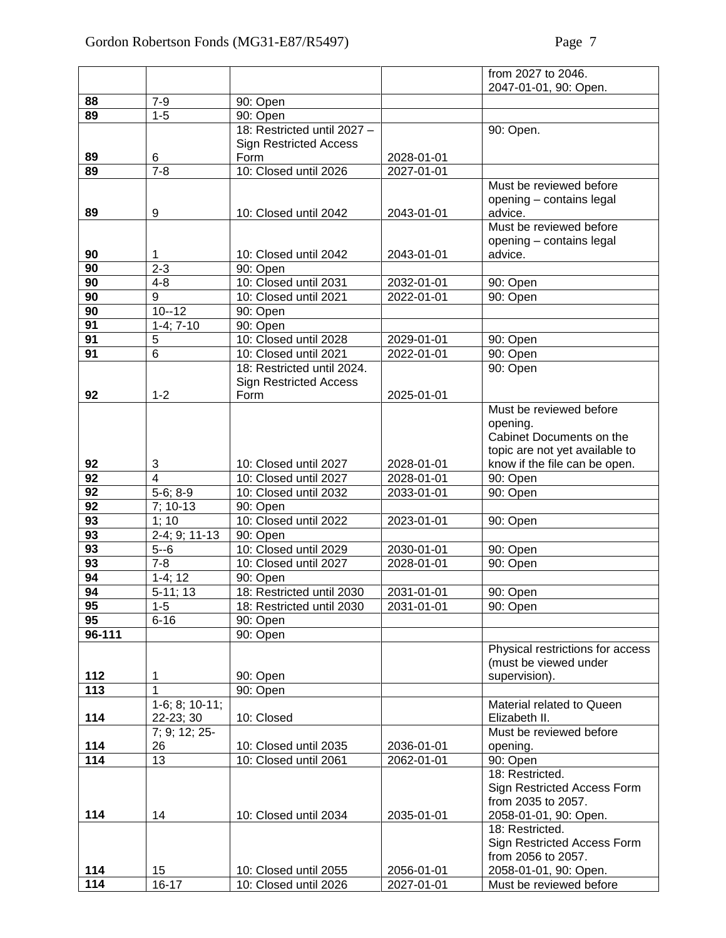|                 |                  |                               |            | from 2027 to 2046.                   |
|-----------------|------------------|-------------------------------|------------|--------------------------------------|
|                 |                  |                               |            | 2047-01-01, 90: Open.                |
| 88              | $7-9$            | 90: Open                      |            |                                      |
| 89              | $1 - 5$          | 90: Open                      |            |                                      |
|                 |                  | 18: Restricted until 2027 -   |            | 90: Open.                            |
|                 |                  | <b>Sign Restricted Access</b> |            |                                      |
| 89              | 6                | Form                          | 2028-01-01 |                                      |
| 89              | $7 - 8$          | 10: Closed until 2026         | 2027-01-01 |                                      |
|                 |                  |                               |            | Must be reviewed before              |
|                 |                  |                               |            | opening - contains legal             |
| 89              | 9                | 10: Closed until 2042         | 2043-01-01 | advice.                              |
|                 |                  |                               |            | Must be reviewed before              |
|                 |                  |                               |            | opening - contains legal             |
| 90              | 1                | 10: Closed until 2042         | 2043-01-01 | advice.                              |
| 90              | $2 - 3$          | 90: Open                      |            |                                      |
| 90              | $4 - 8$          | 10: Closed until 2031         | 2032-01-01 | 90: Open                             |
| 90              | 9                | 10: Closed until 2021         | 2022-01-01 | 90: Open                             |
| 90              | $10 - 12$        | 90: Open                      |            |                                      |
| 91              | $1-4; 7-10$      | 90: Open                      |            |                                      |
| 91              | $\overline{5}$   | 10: Closed until 2028         | 2029-01-01 | 90: Open                             |
| 91              | $\overline{6}$   | 10: Closed until 2021         | 2022-01-01 | 90: Open                             |
|                 |                  | 18: Restricted until 2024.    |            | 90: Open                             |
|                 |                  | <b>Sign Restricted Access</b> |            |                                      |
| 92              | $1 - 2$          | Form                          | 2025-01-01 |                                      |
|                 |                  |                               |            | Must be reviewed before              |
|                 |                  |                               |            | opening.<br>Cabinet Documents on the |
|                 |                  |                               |            | topic are not yet available to       |
| 92              | 3                | 10: Closed until 2027         | 2028-01-01 | know if the file can be open.        |
| 92              | 4                | 10: Closed until 2027         | 2028-01-01 | 90: Open                             |
| 92              | $5-6; 8-9$       | 10: Closed until 2032         | 2033-01-01 | 90: Open                             |
| 92              | $7:10-13$        | 90: Open                      |            |                                      |
| 93              | 1; 10            | 10: Closed until 2022         | 2023-01-01 | 90: Open                             |
| 93              | $2-4; 9; 11-13$  | 90: Open                      |            |                                      |
| 93              | $5 - 6$          | 10: Closed until 2029         | 2030-01-01 | 90: Open                             |
| 93              | $7 - 8$          | 10: Closed until 2027         | 2028-01-01 | 90: Open                             |
| 94              | $1-4:12$         | 90: Open                      |            |                                      |
| $9\overline{4}$ | $5-11; 13$       | 18: Restricted until 2030     | 2031-01-01 | 90: Open                             |
| 95              | $1 - 5$          | 18: Restricted until 2030     | 2031-01-01 | 90: Open                             |
| 95              | $6 - 16$         | 90: Open                      |            |                                      |
| 96-111          |                  | 90: Open                      |            |                                      |
|                 |                  |                               |            | Physical restrictions for access     |
|                 |                  |                               |            | (must be viewed under                |
| 112             | 1                | 90: Open                      |            | supervision).                        |
| 113             | 1                | 90: Open                      |            |                                      |
|                 | $1-6; 8; 10-11;$ |                               |            | Material related to Queen            |
| 114             | 22-23; 30        | 10: Closed                    |            | Elizabeth II.                        |
|                 | 7; 9; 12; 25-    |                               |            | Must be reviewed before              |
| 114             | 26               | 10: Closed until 2035         | 2036-01-01 | opening.                             |
| 114             | 13               | 10: Closed until 2061         | 2062-01-01 | 90: Open                             |
|                 |                  |                               |            | 18: Restricted.                      |
|                 |                  |                               |            | Sign Restricted Access Form          |
|                 |                  |                               |            | from 2035 to 2057.                   |
| 114             | 14               | 10: Closed until 2034         | 2035-01-01 | 2058-01-01, 90: Open.                |
|                 |                  |                               |            | 18: Restricted.                      |
|                 |                  |                               |            | Sign Restricted Access Form          |
|                 |                  |                               |            | from 2056 to 2057.                   |
| 114             | 15               | 10: Closed until 2055         | 2056-01-01 | 2058-01-01, 90: Open.                |
| 114             | $16 - 17$        | 10: Closed until 2026         | 2027-01-01 | Must be reviewed before              |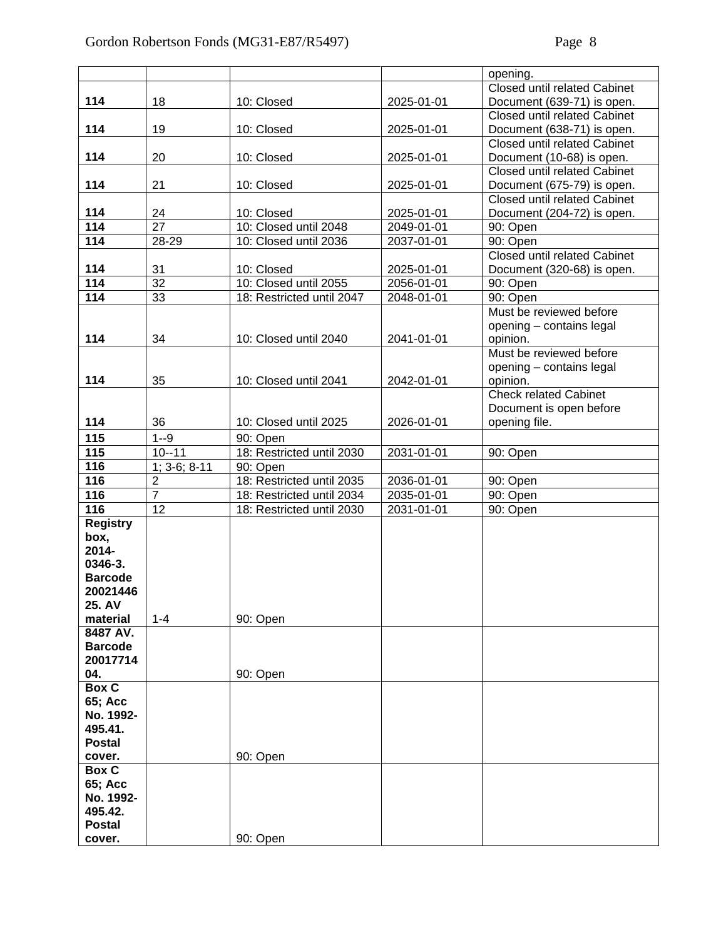|                 |                |                           |            | opening.                            |
|-----------------|----------------|---------------------------|------------|-------------------------------------|
|                 |                |                           |            | <b>Closed until related Cabinet</b> |
| 114             | 18             | 10: Closed                | 2025-01-01 | Document (639-71) is open.          |
|                 |                |                           |            | <b>Closed until related Cabinet</b> |
| 114             | 19             | 10: Closed                | 2025-01-01 | Document (638-71) is open.          |
|                 |                |                           |            | <b>Closed until related Cabinet</b> |
| 114             | 20             | 10: Closed                | 2025-01-01 | Document (10-68) is open.           |
|                 |                |                           |            | <b>Closed until related Cabinet</b> |
| 114             | 21             | 10: Closed                | 2025-01-01 | Document (675-79) is open.          |
|                 |                |                           |            | <b>Closed until related Cabinet</b> |
| 114             | 24             | 10: Closed                | 2025-01-01 | Document (204-72) is open.          |
| 114             | 27             | 10: Closed until 2048     | 2049-01-01 | 90: Open                            |
| 114             | 28-29          | 10: Closed until 2036     | 2037-01-01 | 90: Open                            |
|                 |                |                           |            | <b>Closed until related Cabinet</b> |
| 114             | 31             | 10: Closed                | 2025-01-01 | Document (320-68) is open.          |
| 114             | 32             | 10: Closed until 2055     | 2056-01-01 | 90: Open                            |
| 114             | 33             | 18: Restricted until 2047 | 2048-01-01 | 90: Open                            |
|                 |                |                           |            | Must be reviewed before             |
|                 |                |                           |            | opening - contains legal            |
| 114             | 34             | 10: Closed until 2040     | 2041-01-01 | opinion.                            |
|                 |                |                           |            | Must be reviewed before             |
|                 |                |                           |            | opening - contains legal            |
| 114             | 35             | 10: Closed until 2041     | 2042-01-01 | opinion.                            |
|                 |                |                           |            | <b>Check related Cabinet</b>        |
|                 |                |                           |            | Document is open before             |
| 114             | 36             | 10: Closed until 2025     | 2026-01-01 | opening file.                       |
| 115             | $1 - 9$        | 90: Open                  |            |                                     |
| 115             | $10 - 11$      | 18: Restricted until 2030 | 2031-01-01 | 90: Open                            |
| 116             | $1; 3-6; 8-11$ | 90: Open                  |            |                                     |
| 116             | $\overline{2}$ | 18: Restricted until 2035 | 2036-01-01 | 90: Open                            |
| 116             | $\overline{7}$ | 18: Restricted until 2034 | 2035-01-01 | 90: Open                            |
| 116             | 12             | 18: Restricted until 2030 | 2031-01-01 | 90: Open                            |
| <b>Registry</b> |                |                           |            |                                     |
| box,            |                |                           |            |                                     |
| 2014-           |                |                           |            |                                     |
| 0346-3.         |                |                           |            |                                     |
| <b>Barcode</b>  |                |                           |            |                                     |
| 20021446        |                |                           |            |                                     |
| 25. AV          |                |                           |            |                                     |
| material        | $1 - 4$        | 90: Open                  |            |                                     |
| 8487 AV.        |                |                           |            |                                     |
| <b>Barcode</b>  |                |                           |            |                                     |
| 20017714        |                |                           |            |                                     |
| 04.             |                | 90: Open                  |            |                                     |
| <b>Box C</b>    |                |                           |            |                                     |
| 65; Acc         |                |                           |            |                                     |
| No. 1992-       |                |                           |            |                                     |
| 495.41.         |                |                           |            |                                     |
| <b>Postal</b>   |                |                           |            |                                     |
| cover.          |                | 90: Open                  |            |                                     |
| Box C           |                |                           |            |                                     |
| 65; Acc         |                |                           |            |                                     |
| No. 1992-       |                |                           |            |                                     |
| 495.42.         |                |                           |            |                                     |
| <b>Postal</b>   |                |                           |            |                                     |
| cover.          |                | 90: Open                  |            |                                     |